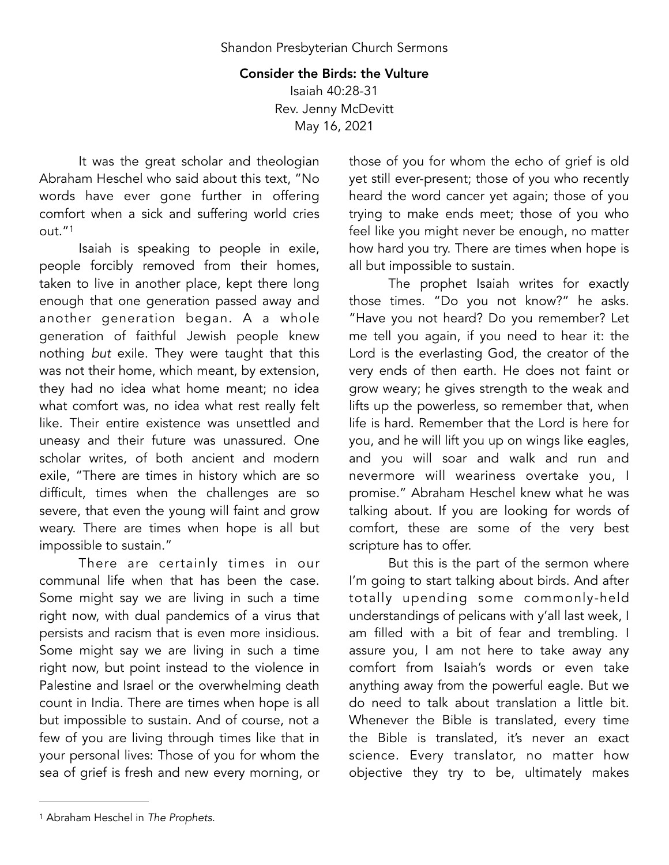## Consider the Birds: the Vulture

Isaiah 40:28-31 Rev. Jenny McDevitt May 16, 2021

It was the great scholar and theologian Abraham Heschel who said about this text, "No words have ever gone further in offering comfort when a sick and suffering world cries out.["1](#page-0-0)

<span id="page-0-1"></span>Isaiah is speaking to people in exile, people forcibly removed from their homes, taken to live in another place, kept there long enough that one generation passed away and another generation began. A a whole generation of faithful Jewish people knew nothing *but* exile. They were taught that this was not their home, which meant, by extension, they had no idea what home meant; no idea what comfort was, no idea what rest really felt like. Their entire existence was unsettled and uneasy and their future was unassured. One scholar writes, of both ancient and modern exile, "There are times in history which are so difficult, times when the challenges are so severe, that even the young will faint and grow weary. There are times when hope is all but impossible to sustain."

There are certainly times in our communal life when that has been the case. Some might say we are living in such a time right now, with dual pandemics of a virus that persists and racism that is even more insidious. Some might say we are living in such a time right now, but point instead to the violence in Palestine and Israel or the overwhelming death count in India. There are times when hope is all but impossible to sustain. And of course, not a few of you are living through times like that in your personal lives: Those of you for whom the sea of grief is fresh and new every morning, or those of you for whom the echo of grief is old yet still ever-present; those of you who recently heard the word cancer yet again; those of you trying to make ends meet; those of you who feel like you might never be enough, no matter how hard you try. There are times when hope is all but impossible to sustain.

The prophet Isaiah writes for exactly those times. "Do you not know?" he asks. "Have you not heard? Do you remember? Let me tell you again, if you need to hear it: the Lord is the everlasting God, the creator of the very ends of then earth. He does not faint or grow weary; he gives strength to the weak and lifts up the powerless, so remember that, when life is hard. Remember that the Lord is here for you, and he will lift you up on wings like eagles, and you will soar and walk and run and nevermore will weariness overtake you, I promise." Abraham Heschel knew what he was talking about. If you are looking for words of comfort, these are some of the very best scripture has to offer.

But this is the part of the sermon where I'm going to start talking about birds. And after totally upending some commonly-held understandings of pelicans with y'all last week, I am filled with a bit of fear and trembling. I assure you, I am not here to take away any comfort from Isaiah's words or even take anything away from the powerful eagle. But we do need to talk about translation a little bit. Whenever the Bible is translated, every time the Bible is translated, it's never an exact science. Every translator, no matter how objective they try to be, ultimately makes

<span id="page-0-0"></span>Abraham Heschel in *The Prophets*. [1](#page-0-1)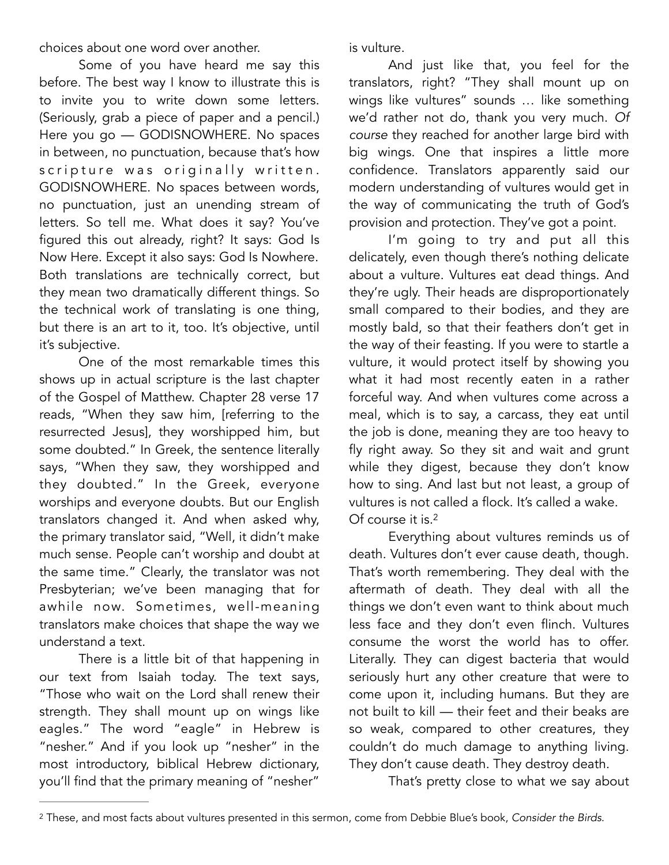choices about one word over another.

Some of you have heard me say this before. The best way I know to illustrate this is to invite you to write down some letters. (Seriously, grab a piece of paper and a pencil.) Here you go — GODISNOWHERE. No spaces in between, no punctuation, because that's how scripture was originally written. GODISNOWHERE. No spaces between words, no punctuation, just an unending stream of letters. So tell me. What does it say? You've figured this out already, right? It says: God Is Now Here. Except it also says: God Is Nowhere. Both translations are technically correct, but they mean two dramatically different things. So the technical work of translating is one thing, but there is an art to it, too. It's objective, until it's subjective.

One of the most remarkable times this shows up in actual scripture is the last chapter of the Gospel of Matthew. Chapter 28 verse 17 reads, "When they saw him, [referring to the resurrected Jesus], they worshipped him, but some doubted." In Greek, the sentence literally says, "When they saw, they worshipped and they doubted." In the Greek, everyone worships and everyone doubts. But our English translators changed it. And when asked why, the primary translator said, "Well, it didn't make much sense. People can't worship and doubt at the same time." Clearly, the translator was not Presbyterian; we've been managing that for awhile now. Sometimes, well-meaning translators make choices that shape the way we understand a text.

There is a little bit of that happening in our text from Isaiah today. The text says, "Those who wait on the Lord shall renew their strength. They shall mount up on wings like eagles." The word "eagle" in Hebrew is "nesher." And if you look up "nesher" in the most introductory, biblical Hebrew dictionary, you'll find that the primary meaning of "nesher"

is vulture.

And just like that, you feel for the translators, right? "They shall mount up on wings like vultures" sounds … like something we'd rather not do, thank you very much. *Of course* they reached for another large bird with big wings. One that inspires a little more confidence. Translators apparently said our modern understanding of vultures would get in the way of communicating the truth of God's provision and protection. They've got a point.

I'm going to try and put all this delicately, even though there's nothing delicate about a vulture. Vultures eat dead things. And they're ugly. Their heads are disproportionately small compared to their bodies, and they are mostly bald, so that their feathers don't get in the way of their feasting. If you were to startle a vulture, it would protect itself by showing you what it had most recently eaten in a rather forceful way. And when vultures come across a meal, which is to say, a carcass, they eat until the job is done, meaning they are too heavy to fly right away. So they sit and wait and grunt while they digest, because they don't know how to sing. And last but not least, a group of vultures is not called a flock. It's called a wake. Of course it is.[2](#page-1-0)

<span id="page-1-1"></span>Everything about vultures reminds us of death. Vultures don't ever cause death, though. That's worth remembering. They deal with the aftermath of death. They deal with all the things we don't even want to think about much less face and they don't even flinch. Vultures consume the worst the world has to offer. Literally. They can digest bacteria that would seriously hurt any other creature that were to come upon it, including humans. But they are not built to kill — their feet and their beaks are so weak, compared to other creatures, they couldn't do much damage to anything living. They don't cause death. They destroy death.

That's pretty close to what we say about

<span id="page-1-0"></span>These, and most facts about vultures presented in this sermon, come from Debbie Blue's book, *Consider the Birds*. [2](#page-1-1)